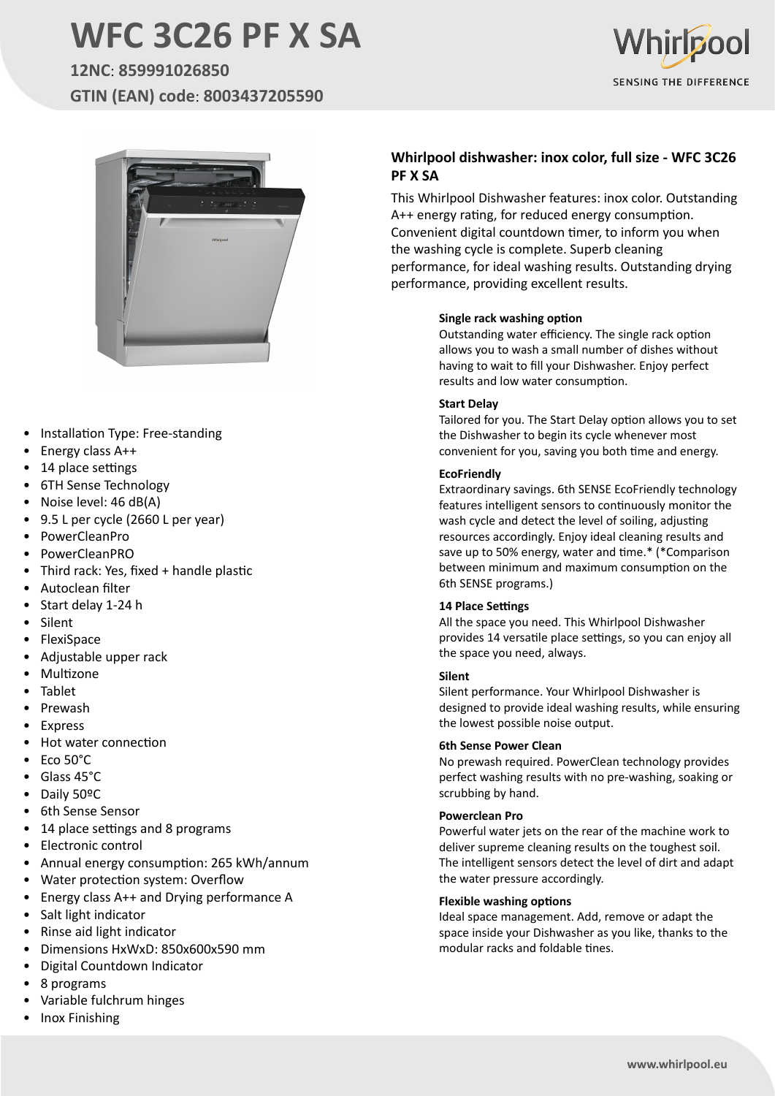# **WFC 3C26 PF X SA**

**12NC**: **859991026850 GTIN (EAN) code**: **8003437205590**





- Installation Type: Free-standing
- Energy class A++
- 14 place settings
- 6TH Sense Technology
- Noise level: 46 dB(A)
- 9.5 L per cycle (2660 L per year)
- PowerCleanPro
- PowerCleanPRO
- Third rack: Yes, fixed + handle plastic
- Autoclean filter
- Start delay 1-24 h
- **Silent**
- FlexiSpace
- Adjustable upper rack
- Multizone
- Tablet
- **Prewash**
- **Express**
- Hot water connection
- Eco 50°C
- Glass 45°C
- Daily 50ºC
- 6th Sense Sensor
- 14 place settings and 8 programs
- Electronic control
- Annual energy consumption: 265 kWh/annum
- Water protection system: Overflow
- Energy class A++ and Drying performance A
- Salt light indicator
- Rinse aid light indicator
- Dimensions HxWxD: 850x600x590 mm
- Digital Countdown Indicator
- 8 programs
- Variable fulchrum hinges
- Inox Finishing

### **Whirlpool dishwasher: inox color, full size - WFC 3C26 PF X SA**

This Whirlpool Dishwasher features: inox color. Outstanding A++ energy rating, for reduced energy consumption. Convenient digital countdown timer, to inform you when the washing cycle is complete. Superb cleaning performance, for ideal washing results. Outstanding drying performance, providing excellent results.

#### **Single rack washing option**

Outstanding water efficiency. The single rack option allows you to wash a small number of dishes without having to wait to fill your Dishwasher. Enjoy perfect results and low water consumption.

#### **Start Delay**

Tailored for you. The Start Delay option allows you to set the Dishwasher to begin its cycle whenever most convenient for you, saving you both time and energy.

#### **EcoFriendly**

Extraordinary savings. 6th SENSE EcoFriendly technology features intelligent sensors to continuously monitor the wash cycle and detect the level of soiling, adjusting resources accordingly. Enjoy ideal cleaning results and save up to 50% energy, water and time.\* (\*Comparison between minimum and maximum consumption on the 6th SENSE programs.)

#### **14 Place Settings**

All the space you need. This Whirlpool Dishwasher provides 14 versatile place settings, so you can enjoy all the space you need, always.

#### **Silent**

Silent performance. Your Whirlpool Dishwasher is designed to provide ideal washing results, while ensuring the lowest possible noise output.

#### **6th Sense Power Clean**

No prewash required. PowerClean technology provides perfect washing results with no pre-washing, soaking or scrubbing by hand.

#### **Powerclean Pro**

Powerful water jets on the rear of the machine work to deliver supreme cleaning results on the toughest soil. The intelligent sensors detect the level of dirt and adapt the water pressure accordingly.

#### **Flexible washing options**

Ideal space management. Add, remove or adapt the space inside your Dishwasher as you like, thanks to the modular racks and foldable tines.